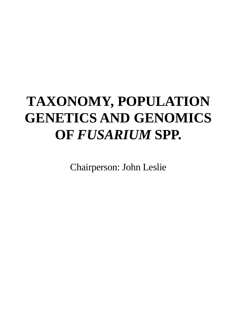# **TAXONOMY, POPULATION GENETICS AND GENOMICS OF** *FUSARIUM* **SPP.**

Chairperson: John Leslie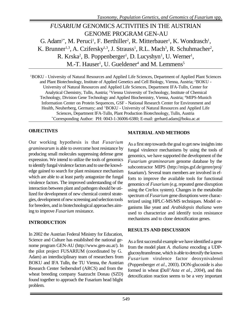# *FUSARIUM* GENOMICS ACTIVITIES IN THE AUSTRIAN GENOME PROGRAM GEN-AU G. Adam<sup>1\*</sup>, M. Peruci<sup>1</sup>, F. Berthiller<sup>2</sup>, R. Mitterbauer<sup>1</sup>, K. Wondrasch<sup>1</sup>, K. Brunner<sup>1,3</sup>, A. Czifersky<sup>1,3</sup>, J. Strauss<sup>1</sup>, R.L. Mach<sup>3</sup>, R. Schuhmacher<sup>2</sup>, R. Krska<sup>2</sup>, B. Poppenberger<sup>1</sup>, D. Lucyshyn<sup>1</sup>, U. Werner<sup>1</sup>, M.-T. Hauser<sup>1</sup>, U. Gueldener<sup>4</sup> and M. Lemmens<sup>5</sup>

<sup>1</sup>BOKU - University of Natural Resources and Applied Life Sciences, Department of Applied Plant Sciences and Plant Biotechnology, Institute of Applied Genetics and Cell Biology, Vienna, Austria; <sup>2</sup>BOKU - University of Natural Resources and Applied Life Sciences, Department IFA-Tulln, Center for Analytical Chemistry, Tulln, Austria; <sup>3</sup>Vienna University of Technology, Institute of Chemical Technology, Division Gene Technology and Applied Biochemistry, Vienna, Austria; <sup>4</sup>MIPS-Munich Information Center on Protein Sequences, GSF - National Research Center for Environment and Health, Neuherberg, Germany; and <sup>5</sup>BOKU - University of Natural Resources and Applied Life Sciences, Department IFA-Tulln, Plant Production Biotechnology, Tulln, Austria \*Corresponding Author: PH: 0043-1-36006-6380; E-mail: gerhard.adam@boku.ac.at

#### **OBJECTIVES**

Our working hypothesis is that *Fusarium graminearum* is able to overcome host resistance by producing small molecules suppressing defense gene expression. We intend to utilize the tools of genomics to identify fungal virulence factors and to use the knowledge gained to search for plant resistance mechanism which are able to at least partly antagonize the fungal virulence factors. The improved understanding of the interaction between plant and pathogen should be utilized for development of new chemical control strategies, development of new screening and selection tools for breeders, and in biotechnological approaches aiming to improve *Fusarium* resistance.

### **INTRODUCTION**

In 2002 the Austrian Federal Ministry for Education, Science and Culture has established the national genome program GEN-AU (http://www.gen-au.at/). In the pilot project FUSARIUM (coordinated by G. Adam) an interdisciplinary team of researchers from BOKU and IFA Tulln, the TU Vienna, the Austrian Research Center Seibersdorf (ARCS) and from the wheat breeding company Saatzucht Donau (SZD) found together to approach the Fusarium head blight problem.

### **MATERIAL AND METHODS**

As a first step towards the goal to get new insights into fungal virulence mechanisms by using the tools of genomics, we have supported the development of the *Fusarium graminearum* genome database by the subcontractor MIPS (http://mips.gsf.de/genre/proj/ fusarium/). Several team members are involved in efforts to improve the available tools for functional genomics of *Fusarium* (e.g. repeated gene disruption using the Cre/lox system). Changes in the metabolite spectrum of *Fusarium* gene disruptions were characterized using HPLC-MS/MS techniques. Model organisms like yeast and *Arabidopsis thaliana* were used to characterize and identify toxin resistance mechanisms and to clone detoxification genes.

### **RESULTS AND DISCUSSION**

As a first successful example we have identified a gene from the model plant *A. thaliana* encoding a UDPglucosyltransferase, which is able to detoxify the known *Fusarium* virulence factor deoxynivalenol (Poppenberger *et al*., 2003). DON-glucoside is also formed in wheat (*Dall'Asta et al., 2004*), and this detoxification reaction seems to be a very important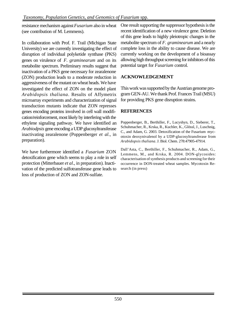resistance mechanism against *Fusarium* also in wheat (see contribution of M. Lemmens).

In collaboration with Prof. F. Trail (Michigan State University) we are currently investigating the effect of disruption of individual polyketide synthase (PKS) genes on virulence of *F. graminearum* and on its metabolite spectrum. Preliminary results suggest that inactivation of a PKS gene necessary for zearalenone (ZON) production leads to a moderate reduction in aggressiveness of the mutant on wheat heads. We have investigated the effect of ZON on the model plant *Arabidopsis thaliana*. Results of Affymetrix microarray experiments and characterization of signal transduction mutants indicate that ZON represses genes encoding proteins involved in cell wall modification/reinforcement, most likely by interfering with the ethylene signaling pathway. We have identified an *Arabiodpsis* gene encoding a UDP glucosyltransferase inactivating zearalenone (Poppenberger *et al*., in preparation).

We have furthermore identified a *Fusarium* ZON detoxification gene which seems to play a role in self protection (Mitterbauer *et al*., in preparation). Inactivation of the predicted sulfotransferase gene leads to loss of production of ZON and ZON-sulfate.

One result supporting the suppressor hypothesis is the recent identification of a new virulence gene. Deletion of this gene leads to highly pleiotropic changes in the metabolite spectrum of *F. graminearum* and a nearly complete loss in the ability to cause disease. We are currently working on the development of a bioassay allowing high throughput screening for inhibitors of this potential target for *Fusarium* control.

### **ACKNOWLEDGEMENT**

This work was supported by the Austrian genome program GEN-AU. We thank Prof. Frances Trail (MSU) for providing PKS gene disruption strains.

### **REFERENCES**

Poppenberger, B., Berthiller, F., Lucyshyn, D., Sieberer, T., Schuhmacher, R., Krska, R., Kuchler, K., Glössl, J., Luschnig, C., and Adam, G. 2003. Detoxification of the Fusarium mycotoxin deoxynivalenol by a UDP-glucosyltransferase from *Arabidopsis thaliana*. J. Biol. Chem. 278:47905-47914.

Dall'Asta, C., Berthiller, F., Schuhmacher, R., Adam, G., Lemmens, M., and Krska, R. 2004. DON-glycosides: characterisation of synthesis products and screening for their occurrence in DON-treated wheat samples. Mycotoxin Research (in press)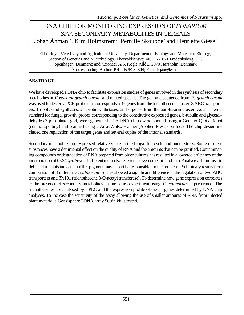# DNA CHIP FOR MONITORING EXPRESSION OF *FUSARIUM SPP*. SECONDARY METABOLITES IN CEREALS Johan Åhman<sup>1\*</sup>, Kim Holmstrøm<sup>2</sup>, Pernille Skouboe<sup>2</sup> and Henriette Giese<sup>1</sup>

<sup>1</sup>The Royal Veterinary and Agricultural University, Department of Ecology and Molecular Biology, Section of Genetics and Microbiology, Thorvaldsensvej 40, DK-1871 Frederiksberg C, C openhagen, Denmark; and <sup>2</sup>Bioneer A/S, Kogle Allé 2, 2970 Hørsholm, Denmark \*Corresponding Author: PH: 4535282604; E-mail: jaa@kvl.dk

### **ABSTRACT**

We have developed a DNA chip to facilitate expression studies of genes involved in the synthesis of secondary metabolites in *Fusarium graminearum* and related species. The genome sequence from *F. graminearum* was used to design a PCR probe that corresponds to 9 genes from the trichothecene cluster, 8 ABC transporters, 15 polyketid synthases, 21 peptidsynthetases, and 6 genes from the aurofusarin cluster. As an internal standard for fungal growth, probes corresponding to the constitutive expressed genes, b-tubulin and glyceraldehydes-3-phosphate, gpd, were generated. The DNA chips were spotted using a Genetix Q-pix Robot (contact spotting) and scanned using a ArrayWoRx scanner (Applied Prescision Inc.). The chip design included one replication of the target genes and several copies of the internal standards.

Secondary metabolites are expressed relatively late in the fungal life cycle and under stress. Some of these substances have a detrimental effect on the quality of RNA and the amounts that can be purified. Contaminating compounds or degradation of RNA prepared from older cultures has resulted in a lowered efficiency of the incorporation of Cy3/Cy5. Several different methods are tested to overcome this problem. Analyses of aurofusarin deficient mutants indicate that this pigment may in part be responsible for the problem. Preliminary results from comparison of 3 different *F. culmorum* isolates showed a significant difference in the regulation of two ABC transporters and *Tri*101 (trichothecene 3-O-acetyl transferase). To determine how gene expression correlates to the presence of secondary metabolites a time series experiment using *F. culmorum* is performed. The trichothecenes are analysed by HPLC and the expression profile of the *tri* genes determined by DNA chip analyses. To increase the sensitivity of the assay allowing the use of smaller amounts of RNA from infected plant material a Gensisphere 3DNA array 900™ kit is tested.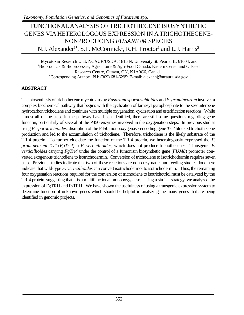### FUNCTIONALANALYSIS OF TRICHOTHECENE BIOSYNTHETIC GENES VIA HETEROLOGOUS EXPRESSION IN ATRICHOTHECENE-NONPRODUCING *FUSARIUM* SPECIES N.J. Alexander<sup>1\*</sup>, S.P. McCormick<sup>1</sup>, R.H. Proctor<sup>1</sup> and L.J. Harris<sup>2</sup>

<sup>1</sup>Mycotoxin Research Unit, NCAUR/USDA, 1815 N. University St. Peoria, IL 61604; and <sup>2</sup>Bioproducts & Bioprocesses, Agriculture & Agri-Food Canada, Eastern Cereal and Oilseed Research Centre, Ottawa, ON, K1A0C6, Canada \*Corresponding Author: PH: (309) 681-6295; E-mail: alexannj@ncaur.usda.gov

### **ABSTRACT**

The biosynthesis of trichothecene mycotoxins by *Fusarium sporotrichioides* and *F. graminearum* involves a complex biochemical pathway that begins with the cyclization of farnesyl pyrophosphate to the sesquiterpene hydrocarbon trichodiene and continues with multiple oxygenation, cyclization and esterification reactions. While almost all of the steps in the pathway have been identified, there are still some questions regarding gene function, particularly of several of the P450 enzymes involved in the oxygenation steps. In previous studies using *F. sporotrichioides*, disruption of the P450 monooxygenase-encoding gene *Tri4* blocked trichothecene production and led to the accumulation of trichodiene. Therefore, trichodiene is the likely substrate of the TRI4 protein. To further elucidate the function of the TRI4 protein, we heterologously expressed the *F. graminearum Tri4* (*FgTri4*) in *F. verticillioides*, which does not produce trichothecenes. Transgenic *F. verticillioides* carrying *FgTri4* under the control of a fumonisin biosynthetic gene (*FUM8*) promoter converted exogenous trichodiene to isotrichodermin. Conversion of trichodiene to isotrichodermin requires seven steps. Previous studies indicate that two of these reactions are non-enzymatic, and feeding studies done here indicate that wild-type *F. verticillioides* can convert isotrichodermol to isotrichodermin. Thus, the remaining four oxygenation reactions required for the conversion of trichodiene to isotrichotriol must be catalyzed by the TRI4 protein, suggesting that it is a multifunctional monooxygenase. Using a similar strategy, we analyzed the expression of FgTRI1 and FsTRI1. We have shown the usefulness of using a transgenic expression system to determine function of unknown genes which should be helpful in analyzing the many genes that are being identified in genomic projects.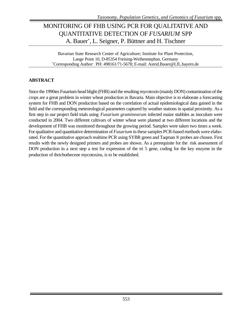# MONITORING OF FHB USING PCR FOR QUALITATIVE AND QUANTITATIVE DETECTION OF *FUSARIUM* SPP A. Bauer\* , L. Seigner, P. Büttner and H. Tischner

Bavarian State Research Center of Agriculture; Institute for Plant Protection, Lange Point 10, D-85354 Freising-Weihenstephan, Germany \*Corresponding Author: PH: 498161/71-5678; E-mail: Astrid.Bauer@LfL.bayern.de

### **ABSTRACT**

Since the 1990ies Fusarium head blight (FHB) and the resulting mycotoxin (mainly DON) contamination of the crops are a great problem in winter wheat production in Bavaria. Main objective is to elaborate a forecasting system for FHB and DON production based on the correlation of actual epidemiological data gained in the field and the corresponding meteorological parameters captured by weather stations in spatial proximity. As a first step in our project field trials using *Fusarium graminearum* infected maize stubbles as inoculum were conducted in 2004. Two different cultivars of winter wheat were planted at two different locations and the development of FHB was monitored throughout the growing period. Samples were taken two times a week. For qualitative and quantitative determination of *Fusarium* in these samples PCR-based methods were elaborated. For the quantitative approach realtime PCR using SYBR green and Taqman ® probes are chosen. First results with the newly designed primers and probes are shown. As a prerequisite for the risk assessment of DON production in a next step a test for expression of the tri 5 gene, coding for the key enzyme in the production of thrichothecene mycotoxins, is to be established.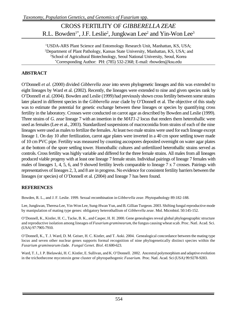### CROSS FERTILITY OF *GIBBERELLA ZEAE* R.L. Bowden<sup>1\*</sup>, J.F. Leslie<sup>2</sup>, Jungkwan Lee<sup>2</sup> and Yin-Won Lee<sup>3</sup>

USDA-ARS Plant Science and Entomology Research Unit, Manhattan, KS, USA; Department of Plant Pathology, Kansas State University, Manhattan, KS, USA; and School of Agricultural Biotechnology, Seoul National University, Seoul, Korea \*Corresponding Author: PH: (785) 532-2368; E-mail: rbowden@ksu.edu

#### **ABSTRACT**

O'Donnell *et al.* (2000) divided *Gibberella zeae* into seven phylogenetic lineages and this was extended to eight lineages by Ward et al. (2002). Recently, the lineages were extended to nine and given species rank by O'Donnell et al. (2004). Bowden and Leslie (1999) had previously shown cross fertility between some strains later placed in different species in the *Gibberella zeae* clade by O'Donnell et al. The objective of this study was to estimate the potential for genetic exchange between these lineages or species by quantifying cross fertility in the laboratory. Crosses were conducted on carrot agar as described by Bowden and Leslie (1999). Three strains of *G. zeae* lineage 7 with an insertion in the *MAT1-2* locus that renders them heterothallic were used as females (Lee et al., 2003). Standardized suspensions of macroconidia from strains of each of the nine lineages were used as males to fertilize the females. At least two male strains were used for each lineage except lineage 1. On day 10 after fertilization, carrot agar plates were inverted in a 40 cm spore settling tower made of 10 cm PVC pipe. Fertility was measured by counting ascospores deposited overnight on water agar plates at the bottom of the spore settling tower. Homothallic cultures and unfertilized heterothallic strains served as controls. Cross fertility was highly variable and differed for the three female strains. All males from all lineages produced viable progeny with at least one lineage 7 female strain. Individual pairings of lineage 7 females with males of lineages 1, 4, 5, 6, and 9 showed fertility levels comparable to lineage 7 x 7 crosses. Pairings with representatives of lineages 2, 3, and 8 are in progress. No evidence for consistent fertility barriers between the lineages (or species) of O'Donnell et al. (2004) and lineage 7 has been found.

#### **REFERENCES**

Bowden, R. L., and J. F. Leslie. 1999. Sexual recombination in *Gibberella zeae*. Phytopathology 89:182-188.

Lee, Jungkwan, Theresa Lee, Yin-Won Lee, Sung-Hwan Yun, and B. Gillian Turgeon. 2003. Shifting fungal reproductive mode by manipulation of mating type genes: obligatory heterothallism of *Gibberella zeae.* Mol. Microbiol. 50:145-152.

O'Donnell, K., Kistler, H. C., Tacke, B. K., and Casper, H. H. 2000. Gene genealogies reveal global phylogeographic structure and reproductive isolation among lineages of *Fusarium graminearum*, the fungus causing wheat scab. Proc. Natl. Acad. Sci. (USA) 97:7905-7910.

O'Donnell, K., T. J. Ward, D. M. Geiser, H. C. Kistler, and T. Aoki. 2004. Genealogical concordance between the mating type locus and seven other nuclear genes supports formal recognition of nine phylogenetically distinct species within the *Fusarium graminearum* clade. *Fungal Genet. Biol.* 41:600-623.

Ward, T. J., J. P. Bielawski, H. C. Kistler, E. Sullivan, and K. O'Donnell. 2002. Ancestral polymorphism and adaptive evolution in the trichothecene mycotoxin gene cluster of phytopathogenic *Fusarium*. Proc. Natl. Acad. Sci (USA) 99:9278-9283.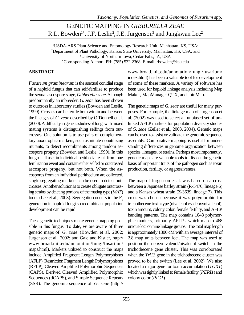### GENETIC MAPPING IN *GIBBERELLA ZEAE* R.L. Bowden<sup>1\*</sup>, J.F. Leslie<sup>2</sup>, J.E. Jurgenson<sup>3</sup> and Jungkwan Lee<sup>2</sup>

<sup>1</sup>USDA-ARS Plant Science and Entomology Research Unit, Manhattan, KS, USA; <sup>2</sup>Department of Plant Pathology, Kansas State University, Manhattan, KS, USA; and <sup>3</sup>University of Northern Iowa, Cedar Falls, IA, USA \*Corresponding Author: PH: (785) 532-2368; E-mail: rbowden@ksu.edu

#### **ABSTRACT**

*Fusarium graminearum* is the asexual conidial stage of a haploid fungus that can self-fertilize to produce the sexual ascospore stage, *Gibberella zeae*. Although predominantly an inbreeder, *G. zeae* has been shown to outcross in laboratory studies (Bowden and Leslie, 1999). Crosses can be fertile both within and between the lineages of *G. zeae* described by O'Donnell et al. (2000). A difficulty in genetic studies of fungi with mixed mating systems is distinguishing selfings from outcrosses. One solution is to use pairs of complementary auxotrophic markers, such as nitrate nonutilizing mutants, to detect recombinants among random ascospore progeny (Bowden and Leslie, 1999). In this fungus, all asci in individual perithecia result from one fertilization event and contain either selfed or outcrossed ascospore progeny, but not both. When the ascospores from an individual perithecium are collected, single segregating markers can be used to detect outcrosses. Another solution is to create obligate outcrossing strains by deleting portions of the mating type (*MAT*) locus (Lee et al., 2003). Segregation occurs in the  $F<sub>1</sub>$ generation in haploid fungi so recombinant population development can be rapid.

These genetic techniques make genetic mapping possible in this fungus. To date, we are aware of three genetic maps of *G. zeae* (Bowden et al, 2002; Jurgenson et al., 2002; and Gale and Kistler, http:// www.broad.mit.edu/annotation/fungi/fusarium/ maps.html). Markers utilized to construct the maps include Amplified Fragment Length Polymorphisms (AFLP), Restriction Fragment Length Polymorphisms (RFLP), Cleaved Amplified Polymorphic Sequences (CAPS), Derived Cleaved Amplified Polymorphic Sequences (dCAPS), and Simple Sequence Repeats (SSR). The genomic sequence of *G. zeae* (http://

www.broad.mit.edu/annotation/fungi/fusarium/ index.html) has been a valuable tool for development of some of these markers. A variety of software has been used for haploid linkage analysis including Map Maker, MapManager QTX, and JoinMap.

The genetic maps of *G. zeae* are useful for many purposes. For example, the linkage map of Jurgenson et al. (2002) was used to select an unbiased set of unlinked AFLP markers for population diversity studies of *G. zeae* (Zeller et al., 2003, 2004). Genetic maps can be used to assist or validate the genomic sequence assembly. Comparative mapping is useful for understanding differences in genome organization between species, lineages, or strains. Perhaps most importantly, genetic maps are valuable tools to dissect the genetic basis of important traits of the pathogen such as toxin production, fertility, or aggressiveness.

The map of Jurgenson et al. was based on a cross between a Japanese barley strain (R-5470, lineage 6) and a Kansas wheat strain (Z-3639, lineage 7). This cross was chosen because it was polymorphic for trichothecene toxin type (nivalenol vs. deoxynivalenol), toxin amount, colony color, female fertility, and AFLP banding patterns. The map contains 1048 polymorphic markers, primarily AFLPs, which map to 468 unique loci on nine linkage groups. The total map length is approximately 1300 cM with an average interval of 2.8 map units between loci. The map was used to position the deoxynivalenol/nivalenol switch in the trichothecene gene cluster. This was corroborated when the *Tri13* gene in the trichothecene cluster was proved to be the switch (Lee et al. 2002). We also located a major gene for toxin accumulation (*TOX1*) which was tightly linked to female fertility (*PERI1*) and colony color (*PIG1*)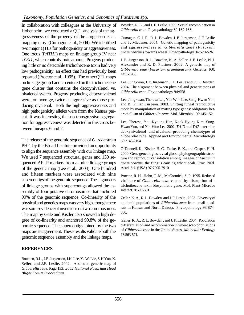In collaboration with colleagues at the University of Hohenheim, we conducted a QTL analysis of the aggressiveness of the progeny of the Jurgenson et al. mapping cross (Cumagun et al., 2004). We identified two major QTLs for pathogenicity or aggressiveness. One locus (*PATH1*) maps on linkage group IV near *TOX1*, which controls toxin amount. Progeny producing little or no detectable trichothecene toxin had very low pathogenicity, an effect that had previously been reported (Proctor et al., 1995). The other QTL maps on linkage group I and is centered on the trichothecene gene cluster that contains the deoxynivalenol vs. nivalenol switch. Progeny producing deoxynivalenol were, on average, twice as aggressive as those producing nivalenol. Both the high aggressiveness and high pathogenicity alleles were from the Kansas parent. It was interesting that no transgressive segregation for aggressiveness was detected in this cross between lineages 6 and 7.

The release of the genomic sequence of *G. zeae* strain PH-1 by the Broad Institute provided an opportunity to align the sequence assembly with our linkage map. We used 7 sequenced structural genes and 130 sequenced AFLP markers from all nine linkage groups of the genetic map (Lee et al., 2004). One hundred and fifteen markers were associated with nine supercontigs of the genomic sequence. The alignments of linkage groups with supercontigs allowed the assembly of four putative chromosomes that anchored 99% of the genomic sequence. Co-linearity of the physical and genetics maps was very high, though there was some evidence of inversions on two chromosomes. The map by Gale and Kistler also showed a high degree of co-linearity and anchored 99.8% of the genomic sequence. The supercontigs joined by the two maps are in agreement. These results validate both the genomic sequence assembly and the linkage maps.

#### **REFERENCES**

Bowden, R.L., J.E. Jurgenson, J.K. Lee, Y.-W. Lee, S-H Yun, K. Zeller, and J.F. Leslie. 2002. A second genetic map of *Gibberella zeae*. Page 133. *2002 National Fusarium Head Blight Forum Proceedings.*

Bowden, R. L., and J. F. Leslie. 1999. Sexual recombination in *Gibberella zeae*. Phytopathology 89:182-188.

Cumagun, C. J. R., R. L. Bowden, J. E. Jurgenson, J. F. Leslie and T. Miedaner. 2004. Genetic mapping of pathogenicity and aggressiveness of *Gibberella zeae* (*Fusarium graminearum*) towards wheat. Phytopathology 94:520-526.

J. E. Jurgenson, R. L. Bowden, K. A. Zeller, J. F. Leslie, N. J. Alexander and R. D. Plattner. 2002. A genetic map of *Gibberella zeae* (*Fusarium graminearum*). Genetics 160: 1451-1450.

Lee, Jungkwan, J. E. Jurgenson, J. F. Leslie and R. L. Bowden. 2004. The alignment between physical and genetic maps of *Gibberella zeae*. Phytopathology 94:S58.

Lee, Jungkwan, Theresa Lee, Yin-Won Lee, Sung-Hwan Yun, and B. Gillian Turgeon. 2003. Shifting fungal reproductive mode by manipulation of mating type genes: obligatory heterothallism of *Gibberella zeae.* Mol. Microbiol. 50:145-152.

Lee, Theresa, You-Kyoung Han, Kook-Hyung Kim, Sung-Hwan Yun, and Yin-Won Lee. 2002. *Tri13* and *Tri7* determine deoxynivalenol- and nivalenol-producing chemotypes of *Gibberella zeae*. Applied and Environmental Microbiology 68:2148-2154.

O'Donnell, K., Kistler, H. C., Tacke, B. K., and Casper, H. H. 2000. Gene genealogies reveal global phylogeographic structure and reproductive isolation among lineages of *Fusarium graminearum*, the fungus causing wheat scab. Proc. Natl. Acad. Sci. (USA) 97:7905-7910.

Proctor, R. H., Hohn, T. M., McCormick, S. P. 1995. Reduced virulence of *Gibberella zeae* caused by disruption of a trichothecene toxin biosynthetic gene. Mol. Plant-Microbe Interact. 8:593-601.

Zeller, K. A., R. L. Bowden, and J. F. Leslie. 2003. Diversity of epidemic populations of *Gibberella zeae* from small quadrats in Kansas and North Dakota. Phytopathology 93:874- 880.

 Zeller, K. A., R. L. Bowden , and J. F. Leslie. 2004. Population differentiation and recombination in wheat scab populations of *Gibberella zeae* in the United States. *Molecular Ecology* 13:563-571.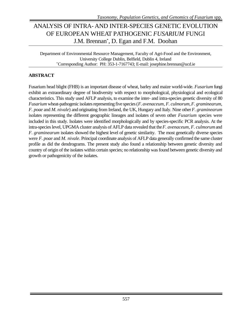# ANALYSIS OF INTRA- AND INTER-SPECIES GENETIC EVOLUTION OF EUROPEAN WHEAT PATHOGENIC *FUSARIUM* FUNGI J.M. Brennan\* , D. Egan and F.M. Doohan

Department of Environmental Resource Management, Faculty of Agri-Food and the Environment, University College Dublin, Belfield, Dublin 4, Ireland \*Corresponding Author: PH: 353-1-7167743; E-mail: josephine.brennan@ucd.ie

### **ABSTRACT**

Fusarium head blight (FHB) is an important disease of wheat, barley and maize world-wide. *Fusarium* fungi exhibit an extraordinary degree of biodiversity with respect to morphological, physiological and ecological characteristics. This study used AFLP analysis, to examine the inter- and intra-species genetic diversity of 80 *Fusarium* wheat-pathogenic isolates representing five species (*F. avenaceum*, *F. culmorum*, *F. graminearum*, *F. poae* and *M. nivale*) and originating from Ireland, the UK, Hungary and Italy. Nine other *F. graminearum* isolates representing the different geographic lineages and isolates of seven other *Fusarium* species were included in this study. Isolates were identified morphologically and by species-specific PCR analysis. At the intra-species level, UPGMA cluster analysis of AFLP data revealed that the *F. avenaceum, F. culmorum* and *F. graminearum* isolates showed the highest level of genetic similarity. The most genetically diverse species were *F. poae* and *M. nivale*. Principal coordinate analysis of AFLP data generally confirmed the same cluster profile as did the dendrograms. The present study also found a relationship between genetic diversity and country of origin of the isolates within certain species; no relationship was found between genetic diversity and growth or pathogenicity of the isolates.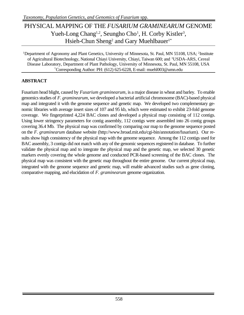# PHYSICAL MAPPING OF THE *FUSARIUM GRAMINEARUM* GENOME Yueh-Long Chang<sup>1,2</sup>, Seungho Cho<sup>1</sup>, H. Corby Kistler<sup>3</sup>, Hsieh-Chun Sheng<sup>2</sup> and Gary Muehlbauer<sup>1\*</sup>

<sup>1</sup>Department of Agronomy and Plant Genetics, University of Minnesota, St. Paul, MN 55108, USA; <sup>2</sup>Institute of Agricultural Biotechnology, National Chiayi University, Chiayi, Taiwan 600; and <sup>3</sup>USDA-ARS, Cereal Disease Laboratory, Department of Plant Pathology, University of Minnesota, St. Paul, MN 55108, USA \*Corresponding Author: PH: (612) 625-6228, E-mail: muehl003@umn.edu

### **ABSTRACT**

Fusarium head blight, caused by *Fusarium graminearum,* is a major disease in wheat and barley. To enable genomics studies of *F. graminearum*, we developed a bacterial artificial chromosome (BAC)-based physical map and integrated it with the genome sequence and genetic map. We developed two complementary genomic libraries with average insert sizes of 107 and 95 kb, which were estimated to exhibit 23-fold genome coverage. We fingerprinted 4,224 BAC clones and developed a physical map consisting of 112 contigs. Using lower stringency parameters for contig assembly, 112 contigs were assembled into 26 contig groups covering 36.4 Mb. The physical map was confirmed by comparing our map to the genome sequence posted on the *F. graminearum* database website (http://www.broad.mit.edu/cgi-bin/annotation/fusarium). Our results show high consistency of the physical map with the genome sequence. Among the 112 contigs used for BAC assembly, 3 contigs did not match with any of the genomic sequences registered in database. To further validate the physical map and to integrate the physical map and the genetic map, we selected 30 genetic markers evenly covering the whole genome and conducted PCR-based screening of the BAC clones. The physical map was consistent with the genetic map throughout the entire genome. Our current physical map, integrated with the genome sequence and genetic map, will enable advanced studies such as gene cloning, comparative mapping, and elucidation of *F. graminearum* genome organization.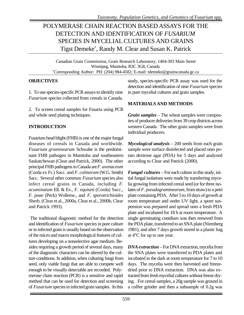# POLYMERASE CHAIN REACTION BASED ASSAYS FOR THE DETECTION AND IDENTIFICATION OF *FUSARIUM* SPECIES IN MYCELIAL CULTURES AND GRAINS Tigst Demeke\* , Randy M. Clear and Susan K. Patrick

Canadian Grain Commission, Grain Research Laboratory, 1404-303 Main Street Winnipeg, Manitoba, R3C 3G8, Canada \*Corresponding Author: PH: (204) 984-4582; E-mail: tdemeke@grainscanada.gc.ca

#### **OBJECTIVES**

1. To use species-specific PCR assays to identify nine *Fusarium* species collected from cereals in Canada.

2. To screen cereal samples for Fusaria using PCR and whole seed plating techniques.

### **INTRODUCTION**

Fusarium head blight (FHB) is one of the major fungal diseases of cereals in Canada and worldwide. *Fusarium graminearum* Schwabe is the predominant FHB pathogen in Manitoba and southeastern Saskatchewan (Clear and Patrick, 2000). The other principal FHB pathogens in Canada are *F. avenaceum* (Corda ex Fr.) Sacc. and *F. culmorum* (W.G. Smith) Sacc. Several other common *Fusarium* species also infect cereal grains in Canada, including *F. acuminatum* Ell. & Ev., *F. equiseti* (Corda) Sacc., *F. poae* (Peck) Wollenw., and *F. sporotrichioides* Sherb. (Clear et al., 2000a, Clear et al., 2000b, Clear and Patrick 1993).

The traditional diagnostic method for the detection and identification of *Fusarium* species in pure culture or in infected grain is usually based on the observation of the micro and macro morphological features of cultures developing on a nonselective agar medium. Besides requiring a growth period of several days, many of the diagnostic characters can be altered by the culture conditions. In addition, when culturing fungi from seed, only viable fungi that are able to compete well enough to be visually detectable are recorded. Polymerase chain reaction (PCR) is a sensitive and rapid method that can be used for detection and screening of *Fusarium* species in infected grain samples. In this

study, species-specific PCR assay was used for the detection and identification of nine *Fusarium* species in pure mycelial cultures and grain samples.

### **MATERIALS AND METHODS**

*Grain samples* – The wheat samples were composites of producer deliveries from 39 crop districts across western Canada. The other grain samples were from individual producers.

*Mycological analysis* – 200 seeds from each grain sample were surface disinfected and placed onto potato dextrose agar (PDA) for 5 days and analyzed according to Clear and Patrick (2000).

*Fungal cultures* – For each culture in this study, initial fungal isolations were made by transferring mycelia growing from infected cereal seed (or for three isolates of *F. pseudograminearum*, from straw) to a petri plate containing PDA. After 5 to 10 days of growth at room temperature and under UV light, a spore suspension was prepared and spread onto a fresh PDA plate and incubated for 18 h at room temperature. A single germinating conidium was then removed from the PDA plate, transferred to an SNA plate (Nirenberg 1981), and after 7 days growth stored in a plastic bag at 4°C for up to one year.

*DNA extraction* – For DNA extraction, mycelia from the SNA plates were transferred to PDA plates and incubated in the dark at room temperature for 7 to 10 days. The mycelia were then harvested and freezedried prior to DNA extraction. DNA was also extracted from fresh mycelial cultures without freeze drying. For cereal samples, a 20g sample was ground in a coffee grinder and then a subsample of 0.2g was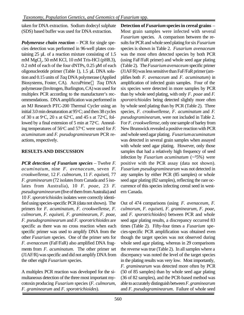taken for DNA extraction. Sodium dodecyl sulphate (SDS) based buffer was used for DNA extraction.

*Polymerase chain reaction* – PCR for single species detection was performed in 96-well plates containing 25 µL of a reaction mixture consisting of 1.5 mM MgCl<sub>2</sub>, 50 mM KCl, 10 mM Tris-HCl (pH8.3), 0.2 mM of each of the four dNTPs, 0.25 µM of each oligonucleotide primer (Table 1), 1.5 µL DNA solution and 0.15 units of *Taq* DNA polymerase (Applied Biosystems, Foster, CA). AccuPrime *Taq* DNA polymerase (Invitrogen, Burlington, CA) was used for multiplex PCR according to the manufacturer's recommendations. DNA amplification was performed in an MJ Research PTC-200 Thermal Cycler using an initial 3.0 min denaturation at  $95^{\circ}$ C; and then 38 cycles of 30 s at 9 $\degree$ C, 20 s at 62 $\degree$ C, and 45 s at 72 $\degree$ C, followed by a final extension of 5 min at  $72^{\circ}$ C. Annealing temperatures of 56<sup>o</sup>C and 57<sup>o</sup>C were used for *F*. *acuminatum* and *F. pseudograminearum* PCR reactions, respectively.

### **RESULTS AND DISCUSSION**

*PCR detection of Fusarium species* – Twelve *F. acuminatum*, nine *F. avenaceum*, seven *F. crookwellense*, 12 *F. culmorum*, 11 *F. equiseti*, 77 *F. graminearum* (72 isolates from Canada and 5 isolates from Australia), 10 *F. poae*, 23 *F. pseudograminearum* (five of them from Australia) and 10 *F. sporotrichioides* isolates were correctly identified using species-specific PCR (data not shown). The primers for *F. acuminatum*, *F. crookwellense*, *F. culmorum*, *F. equiseti*, *F. graminearum*, *F. poae*, *F. pseudograminearum* and *F. sporotrichioides* are specific as there was no cross reaction when each specific primer was used to amplify DNA from the other *Fusarium* species. One of the primer sets for *F. avenaceum* (FaF/FaR) also amplified DNA fragments from *F. acuminatum*. The other primer set (J1AF/R) was specific and did not amplify DNA from the other eight *Fusarium* species.

A multiplex PCR reaction was developed for the simultaneous detection of the three most important mycotoxin producing *Fusarium* species (*F. culmorum*, *F. graminearum* and *F. sporotrichioides*).

**Detection of** *Fusarium* **species in cereal grains** – Most grain samples were infected with several *Fusarium* species. A comparison between the results for PCR and whole seed plating for six *Fusarium* species is shown in Table 2. *Fusarium avenaceum* was the most often detected species by both PCR (using FaF/FaR primer) and whole seed agar plating (Table 2). The *Fusarium avenaceum* specific primer (J1AF/R) was less sensitive than FaF/FaR primer (amplifies both *F. avenaceum* and *F. acuminatum*) in amplification of infected grain samples.Four of the six species were detected in more samples by PCR than by whole seed plating, with only *F*. *poae* and *F. sporotrichioides* being detected slightly more often by whole seed plating than by PCR (Table 2). Three species, *F. crookwellense*, *F. acuminatum* and *F. pseudograminearum*, were not included in Table 2. For *F. crookwellense*, only one sample of barley from New Brunswick revealed a positive reaction with PCR and whole seed agar plating. *Fusarium acuminatum* was detected in several grain samples when assayed with whole seed agar plating. However, only those samples that had a relatively high frequency of seed infection by *Fusarium acuminatum* (~35%) were positive with the PCR assay (data not shown). *Fusarium pseudograminearum* was not detected in any samples by either PCR (85 samples) or whole seed agar plating (82 samples), reflecting the rare occurrence of this species infecting cereal seed in western Canada.

Out of 474 comparisons (using *F. avenaceum*, *F. culmorum*, *F. equiseti*, *F. graminearum*, *F. poae*, and *F. sporotrichioides*) between PCR and whole seed agar plating results, a discrepancy occurred 83 times (Table 2). Fifty-four times a *Fusarium* species-specific PCR amplification was obtained even though the target species was not observed during whole seed agar plating, whereas in 29 comparisons the reverse was true (Table 2). In all samples where a discrepancy was noted the level of the target species in the plating results was very low. Most importantly, *F. graminearum* was detected more often by PCR (50 of 85 samples) than by whole seed agar plating (36 of 82 samples), and the PCR-based method was able to accurately distinguish between *F. graminearum* and *F. pseudograminearum*. Failure of whole seed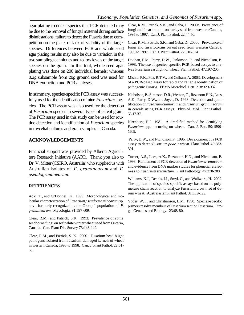agar plating to detect species that PCR detected may be due to the removal of fungal material during surface disinfestations, failure to detect the Fusaria due to competition on the plate, or lack of viability of the target species. Differences between PCR and whole seed agar plating results may also be due to variation in the two sampling techniques and to low levels of the target species on the grain. In this trial, whole seed agar plating was done on 200 individual kernels; whereas 0.2g subsample from 20g ground seed was used for DNA extraction and PCR analyses.

In summary, species-specific PCR assay was successfully used for the identification of nine *Fusarium* species. The PCR assay was also used for the detection of *Fusarium* species in several types of cereal grain. The PCR assay used in this study can be used for routine detection and identification of *Fusarium* species in mycelial cultures and grain samples in Canada.

#### **ACKNOWLEDGEMENTS**

Financial support was provided by Alberta Agriculture Research Initiative (AARI). Thank you also to Dr. V. Mitter (CSIRO, Australia) who supplied us with Australian isolates of *F. graminearum* and *F. pseudograminearum*.

#### **REFERENCES**

Aoki, T., and O'Donnell, K. 1999. Morphological and molecular characterization of *Fusariumpseudograminearum* sp. nov., formerly recognized as the Group 1 population of *F. graminearum*. Mycologia. 91:597-609.

Clear, R.M., and Patrick, S.K. 1993. Prevalence of some seedborne fungi on soft white winter wheat seed from Ontario, Canada. Can. Plant Dis. Survey 73:143-149.

Clear, R.M., and Patrick, S. K. 2000. Fusarium head blight pathogens isolated from fusarium-damaged kernels of wheat in western Canada, 1993 to 1998. Can. J. Plant Pathol. 22:51- 60.

Clear, R.M., Patrick, S.K., and Gaba, D. 2000a. Prevalence of fungi and fusariotoxins on barley seed from western Canada, 1995 to 1997. Can J. Plant Pathol. 22:44-50.

Clear, R.M., Patrick, S.K., and Gaba, D. 2000b. Prevalence of fungi and fusariotoxins on oat seed from western Canada, 1995 to 1997. Can J. Plant Pathol. 22:310-314.

Doohan, F.M., Parry, D.W., Jenkinson, P., and Nicholson, P. 1998. The use of species-specific PCR-based assays to analyze Fusarium earblight of wheat. Plant Pathol. 47:197-205.

Mishra, P.K., Fox, R.T.V., and Culham, A. 2003. Development of a PCR-based assay for rapid and reliable identification of pathogenic Fusaria. FEMS Microbiol. Lett. 218:329-332.

Nicholson, P., Simpson, D.R., Weston, G., Rezanoor H.N., Lees, A.K., Parry, D.W., and Joyce, D. 1998. Detection and quantification of *Fusarium culmorum* and *Fusarium graminearum* in cereals using PCR assays. Physiol. Mol. Plant Pathol. 53:17-37.

Nirenberg, H.I. 1981. A simplified method for identifying *Fusarium* spp. occurring on wheat. Can. J. Bot. 59:1599- 1609.

 Parry, D.W., and Nicholson, P. 1996. Development of a PCR assay to detect *Fusarium poae* in wheat. Plant Pathol. 45:383- 391.

Turner, A.S., Lees, A.K., Rezanoor, H.N., and Nicholson, P. 1998. Refinement of PCR-detection of *Fusarium avenaceum* and evidence from DNA marker studies for phenetic relatedness to *Fusarium tricinctum*. Plant Pathology. 47:278-288.

Williams, K.J., Dennis, J.I., Smyl, C., and Wallwork, H. 2002. The application of species-specific assays based on the polymerase chain reaction to analyze Fusarium crown rot of durum wheat. Australasian Plant Pathol. 31:119-129.

Yoder, W.T., and Christianson, L.M. 1998. Species-specific primers resolve members of Fusarium section Fusarium. Fungal Genetics and Biology. 23:68-80.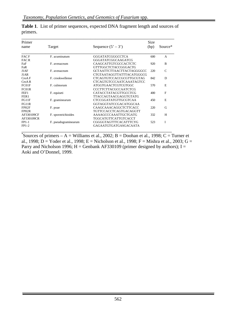| Primer           |                      |                              | Size |              |
|------------------|----------------------|------------------------------|------|--------------|
| name             | Target               | Sequence $(5' - 3')$         | (bp) | Source*      |
| <b>FACF</b>      | F. acuminatum        | <b>GGGATATCGGGCCTCA</b>      | 600  | A            |
| <b>FACR</b>      |                      | GGGATATCGGCAAGATCG           |      |              |
| FaF              | F. avenaceum         | CAAGCATTGTCGCCACTCTC         | 920  | B            |
| FaR              |                      | GTTTGGCTCTACCGGGACTG         |      |              |
| J1AF             | F. avenaceum         | GCTAATTCTTAACTTACTAGGGGCC    | 220  | $\mathsf{C}$ |
| J1AR             |                      | CTGTAATAGGTTATTTACATGGGCG    |      |              |
| CroA F           | F. crookwellense     | CTCAGTGTCCACCGCGTTGCGTAG     | 842  | D            |
| $C_{TOA}$ R      |                      | CTCAGTGTCCCAATCAAATAGTCC     |      |              |
| FC01F            | F. culmorum          | <b>ATGGTGAACTCGTCGTGGC</b>   | 570  | E            |
| FC01R            |                      | <b>CCCTTCTTACGCCAATCTCG</b>  |      |              |
| FEF1             | F. equiseti          | CATACCTATACGTTGCCTCG         | 400  | $_{\rm F}$   |
| FER <sub>1</sub> |                      | <b>TTACCAGTAACGAGGTGTATG</b> |      |              |
| FG11F            | F. graminearum       | <b>CTCCGGATATGTTGCGTCAA</b>  | 450  | E            |
| FG11R            |                      | GGTAGGTATCCGACATGGCAA        |      |              |
| FP82F            | F. poae              | CAAGCAAACAGGCTCTTCACC        | 220  | G            |
| FP82R            |                      | TGTTCCACCTCAGTGACAGGTT       |      |              |
| AF330109CF       | F. sporotrichioides  | AAAAGCCCAAATTGCTGATG         | 332  | H            |
| AF330109CR       |                      |                              |      |              |
| $FP1-1$          |                      | CGGGGTAGTTTCACATTTCYG        | 523  | I            |
| $FP1-2$          |                      | GAGAATGTGATGASGACAATA        |      |              |
|                  | F. pseudograminearum | TGGCATGTTCATTGTCACCT         |      |              |

**Table 1**. List of primer sequences, expected DNA fragment length and sources of primers.

\*Sources of primers – A = Williams et al., 2002; B = Doohan et al., 1998; C = Turner et al., 1998; D = Yoder et al., 1998; E = Nicholson et al., 1998; F = Mishra et al., 2003; G = Parry and Nicholson 1996; H = Genbank AF330109 (primer designed by authors); I = Aoki and O'Donnel, 1999.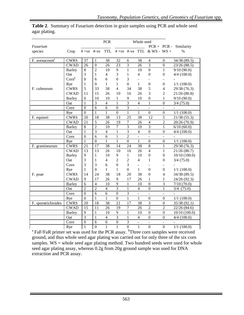|                           |                           |                  |                | <b>PCR</b>     | Whole seed       |                |                   |                              |                          |                |
|---------------------------|---------------------------|------------------|----------------|----------------|------------------|----------------|-------------------|------------------------------|--------------------------|----------------|
| Fusarium                  |                           |                  |                |                |                  |                |                   | $PCR + PCR -$                |                          | Similarity     |
| species                   | Crop                      | $#+ve$ $#-ve$    |                | <b>TTL</b>     |                  |                |                   | $#+ve$ #-ve TTL & WS - WS +  |                          | $\%$           |
| F. avenaceum <sup>a</sup> | <b>CWRS</b>               | 37               | 1              | 38             | 32               | 6              | 38                | 4                            | 0                        | 34/38 (89.5)   |
|                           | <b>CWAD</b>               | 26               | $\mathbf{0}$   | 26             | 23               | $\overline{3}$ | 26                | 3                            | $\overline{0}$           | 23/26 (88.5)   |
|                           | <b>Barley</b>             | 8                | $\overline{2}$ | 10             | 9                | $\mathbf{1}$   | 10                | $\mathbf{0}$                 | $\mathbf{1}$             | 9/10(90.0)     |
|                           | Oat                       | 3                | 1              | 4              | 3                | 1              | 4                 | $\mathbf{0}$                 | $\theta$                 | $4/4$ (100.0)  |
|                           | $Corn^b$                  | $\overline{0}$   | 6              | 6              | $\boldsymbol{0}$ | 3              |                   |                              |                          |                |
|                           | Rye                       | 1                | $\Omega$       | $\mathbf{1}$   | $\mathbf{1}$     | $\overline{0}$ | $\mathbf{1}$      | $\boldsymbol{0}$             | $\boldsymbol{0}$         | 1/1(100.0)     |
| F. culmorum               | <b>CWRS</b>               | 5                | 33             | 38             | $\overline{4}$   | 34             | 38                | 5                            | 4                        | 29/38 (76.3)   |
|                           | <b>CWAD</b>               | 11               | 15             | 26             | 10               | 16             | 26                | 3                            | $\overline{2}$           | 21/26(80.8)    |
|                           | <b>Barley</b>             | $\mathbf{0}$     | 10             | 10             | 1                | 9              | 10                | $\boldsymbol{0}$             | 1                        | 9/10(90.0)     |
|                           | Oat                       | 1                | 3              | $\overline{4}$ | 1                | $\overline{3}$ | 4                 | $\mathbf{1}$                 | $\theta$                 | $3/4$ (75.0)   |
|                           | Corn                      | $\boldsymbol{0}$ | $\overline{6}$ | 6              | $\overline{0}$   | $\overline{3}$ | $\overline{a}$    | $\overline{a}$               | $\overline{a}$           |                |
|                           | Rye                       | $\boldsymbol{0}$ | 1              | $\mathbf{1}$   | $\overline{0}$   | $\mathbf{1}$   | $\mathbf{1}$      | $\mathbf{0}$                 | $\boldsymbol{0}$         | $1/1$ (100.0)  |
| F. equiseti               | <b>CWRS</b>               | 20               | 18             | 38             | 13               | 25             | 38                | 12                           | $\overline{5}$           | 21/38 (55.3)   |
|                           | <b>CWAD</b>               | 21               | $\overline{5}$ | 26             | $\overline{19}$  | $\overline{7}$ | 26                | $\overline{4}$               | $\overline{2}$           | 20/26 (76.9)   |
|                           | <b>Barley</b>             | 8                | $\overline{2}$ | 10             | $\tau$           | 3              | 10                | 3                            | $\mathbf{1}$             | 6/10(60.0)     |
|                           | Oat                       | 1                | 3              | $\overline{4}$ | 1                | $\overline{3}$ | $\overline{4}$    | $\mathbf{0}$                 | $\mathbf{0}$             | $4/4$ (100.0)  |
|                           | Corn                      | $\overline{0}$   | 6              | 6              | $\mathbf{1}$     | $\overline{2}$ | ÷,                | $\frac{1}{2}$                | $\overline{\phantom{a}}$ |                |
|                           | Rye                       | 1                | $\mathbf{0}$   | 1              | 1                | $\overline{0}$ | 1                 | $\boldsymbol{0}$             | $\mathbf{0}$             | $1/1$ (100.0)  |
| F. graminearum            | <b>CWRS</b>               | 21               | 17             | 38             | 14               | 24             | 38                | 8                            | $\mathbf{1}$             | 29/38 (76.3)   |
|                           | $\overline{\text{C}}$ WAD | 13               | 13             | 26             | 10               | 16             | 26                | $\overline{4}$               | $\mathbf{1}$             | 21/26(80.7)    |
|                           | <b>Barley</b>             | 9                | 1              | 10             | 9                | $\mathbf{1}$   | 10                | $\boldsymbol{0}$             | $\boldsymbol{0}$         | 10/10(100.0)   |
|                           | Oat                       | 3                | 1              | 4              | $\overline{2}$   | $\overline{2}$ | 4                 | 1                            | $\theta$                 | $3/4$ (75.0)   |
|                           | Corn                      | 3                | 3              | 6              | $\overline{0}$   | 3              | ÷,                |                              |                          |                |
|                           | Rye                       | $\mathbf{1}$     | $\Omega$       | 1              | $\mathbf{1}$     | $\overline{0}$ | 1                 | $\mathbf{0}$                 | $\boldsymbol{0}$         | 1/1(100.0)     |
| F. poae                   | <b>CWRS</b>               | 14               | 24             | 38             | 18               | 20             | 38                | $\boldsymbol{0}$             | 4                        | 34/38 (89.5)   |
|                           | <b>CWAD</b>               | 9                | 17             | 26             | 9                | 17             | 26                | 1                            | 1                        | 24/26 (92.3)   |
|                           | <b>Barley</b>             | 6                | $\overline{4}$ | 10             | 9                | $\mathbf{1}$   | 10                | $\boldsymbol{0}$             | 3                        | 7/10(70.0)     |
|                           | Oat                       | $\overline{2}$   | $\overline{2}$ | $\overline{4}$ | $\overline{3}$   | $\mathbf 1$    | $\overline{4}$    | $\mathbf{0}$                 | 1                        | $3/4$ $(75.0)$ |
|                           | Corn                      | $\Omega$         | 6              | 6              | $\overline{0}$   | 3              | ÷,                | $\qquad \qquad \blacksquare$ | $\blacksquare$           |                |
|                           | Rye                       | $\mathbf{0}$     | $\mathbf{1}$   | 1              | $\mathbf{0}$     | 1              | 1                 | $\boldsymbol{0}$             | $\mathbf{0}$             | $1/1$ (100.0)  |
| F. sporotrichioides       | <b>CWRS</b>               | 20               | 18             | 38             | 21               | 17             | 38                | 3                            | $\overline{0}$           | 35/38 (92.1)   |
|                           | <b>CWAD</b>               | 15               | 11             | 26             | $\overline{19}$  | $\overline{7}$ | 26                | $\overline{2}$               | $\overline{2}$           | 22/26(84.6)    |
|                           | <b>Barley</b>             | 9                | $\mathbf{1}$   | 10             | 9                | $\mathbf{1}$   | 10                | $\mathbf{0}$                 | $\overline{0}$           | 10/10(100.0)   |
|                           | Oat                       | $\overline{3}$   | 1              | $\overline{4}$ | 3                | 1              | $\overline{4}$    | $\mathbf{0}$                 | $\boldsymbol{0}$         | $4/4$ (100.0)  |
|                           | Corn                      | $\overline{0}$   | 6              | 6              | $\boldsymbol{0}$ | 3              | $\qquad \qquad -$ | $\overline{\phantom{0}}$     | $\overline{\phantom{a}}$ |                |
|                           | Rye                       | $\mathbf{1}$     | $\overline{0}$ | 1              | $\mathbf{1}$     | $\overline{0}$ | 1                 | $\overline{0}$               | $\overline{0}$           | 1/1(100.0)     |

**Table 2**. Summary of Fusarium detection in grain samples using PCR and whole seed agar plating.

 $\begin{array}{c|ccccc}\n & \text{Rye} & \text{1} & \text{0} & \text{1} & \text{0} & \text{1} & \text{0} & \text{0} & \text{1/1} & \text{(100.0)} \\
& \text{a} & \text{FaF/FaR primer set was used for the PCR assay.} & \text{Three corn samples were received}\n\end{array}$ ground, and thus whole seed agar plating was carried out for only three of the six corn samples. WS = whole seed agar plating method. Two hundred seeds were used for whole seed agar plating assay, whereas 0.2g from 20g ground sample was used for DNA extraction and PCR assay.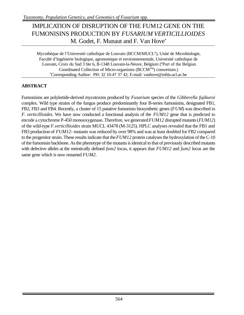### IMPLICATION OF DISRUPTION OF THE FUM12 GENE ON THE FUMONISINS PRODUCTION BY *FUSARIUM VERTICILLIOIDES* M. Godet, F. Munaut and F. Van Hove<sup>\*</sup>

Mycothèque de l'Université catholique de Louvain (BCCM/MUCL#), Unité de Microbiologie, Faculté d'Ingénierie biologique, agronomique et environnementale, Université catholique de Louvain, Croix du Sud 3 bte 6, B-1348 Louvain-la-Neuve, Belgium (#Part of the Belgian Coordinated Collection of Micro-organisms (BCCMTM) consortium.) \*Corresponding Author: PH: 32 10-47 37 42; E-mail: vanhove@mbla.ucl.ac.be

### **ABSTRACT**

Fumonisins are polyketide-derived mycotoxins produced by *Fusarium* species of the *Gibberella fujikuroi* complex. Wild type strains of the fungus produce predominantly four B-series fumonisins, designated FB1, FB2, FB3 and FB4. Recently, a cluster of 15 putative fumonisin biosynthetic genes (*FUM*) was described in *F. verticillioides*. We have now conducted a functional analysis of the *FUM12* gene that is predicted to encode a cytochrome P-450 monooxygenase. Therefore, we generated *FUM12* disrupted mutants (*FUM12*) of the wild-type *F.verticillioides* strain MUCL 43478 (M-3125). HPLC analyses revealed that the FB1 and FB3 production of *FUM12-* mutants was reduced by over 98% and was at least doubled for FB2 compared to the progenitor strain. These results indicate that the *FUM12* protein catalyses the hydroxylation of the C-10 of the fumonisin backbone. As the phenotype of the mutants is identical to that of previously described mutants with defective alleles at the meiotically defined *fum2* locus, it appears that *FUM12* and *fum2* locus are the same gene which is now renamed *FUM2*.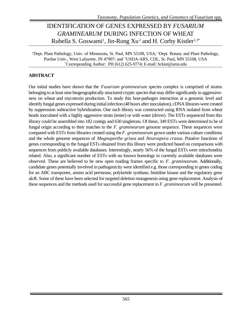### IDENTIFICATION OF GENES EXPRESSED BY *FUSARIUM GRAMINEARUM* DURING INFECTION OF WHEAT Rubella S. Goswami<sup>1</sup>, Jin-Rong Xu<sup>2</sup> and H. Corby Kistler<sup>1,3\*</sup>

<sup>1</sup>Dept. Plant Pathology, Univ. of Minnesota, St. Paul, MN 55108, USA; <sup>2</sup>Dept. Botany and Plant Pathology, Purdue Univ., West Lafayette, IN 47907; and <sup>3</sup>USDA-ARS, CDL, St. Paul, MN 55108, USA \*Corresponding Author: PH (612) 625-9774; E-mail: hckist@umn.edu

#### **ABSTRACT**

Our initial studies have shown that the *Fusarium graminearum* species complex is comprised of strains belonging to at least nine biogeographically structured cryptic species that may differ significantly in aggressiveness on wheat and mycotoxin production. To study this host-pathogen interaction at a genomic level and identify fungal genes expressed during initial infection (48 hours after inoculation), cDNA libraries were created by suppression subtractive hybridization. One such library was constructed using RNA isolated from wheat heads inoculated with a highly aggressive strain (tester) or with water (driver). The ESTs sequenced from this library could be assembled into 182 contigs and 630 singletons. Of these, 349 ESTs were determined to be of fungal origin according to their matches to the *F. graminearum* genome sequence. These sequences were compared with ESTs from libraries created using the *F. graminearum* grown under various culture conditions and the whole genome sequences of *Magnaporthe grisea* and *Neurospora crassa*. Putative functions of genes corresponding to the fungal ESTs obtained from this library were predicted based on comparisons with sequences from publicly available databases. Interestingly, nearly 56% of the fungal ESTs were mitochondria related. Also, a significant number of ESTs with no known homologs in currently available databases were observed. These are believed to be new open reading frames specific to *F. graminearum*. Additionally, candidate genes potentially involved in pathogenicity were identified e.g. those corresponding to genes coding for an ABC transporter, amino acid permease, polyketide synthase, histidine kinase and the regulatory gene alcR. Some of these have been selected for targeted deletion mutagenesis using gene replacement. Analysis of these sequences and the methods used for successful gene replacement in *F. graminearum* will be presented.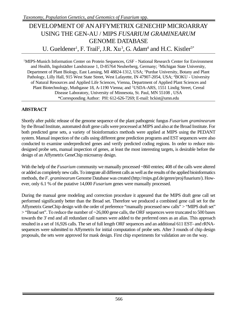# DEVELOPMENT OF AN AFFYMETRIX GENECHIP MICROARRAY USING THE GEN-AU / MIPS *FUSARIUM GRAMINEARUM* GENOME DATABASE U. Gueldener<sup>1</sup>, F. Trail<sup>2</sup>, J.R. Xu<sup>3</sup>, G. Adam<sup>4</sup> and H.C. Kistler<sup>5\*</sup>

<sup>1</sup>MIPS-Munich Information Center on Protein Sequences, GSF - National Research Center for Environment and Health, Ingolstädter Landstrasse 1, D-85764 Neuherberg, Germany; <sup>2</sup>Michigan State University, Department of Plant Biology, East Lansing, MI 48824-1312, USA; <sup>3</sup>Purdue University, Botany and Plant Pathology, Lilly Hall, 915 West State Street, West Lafayette, IN 47907-2054, USA; <sup>4</sup>BOKU - University of Natural Resources and Applied Life Sciences, Vienna, Department of Applied Plant Sciences and Plant Biotechnology, Muthgasse 18, A-1190 Vienna; and <sup>5</sup>USDA-ARS, 1551 Lindig Street, Cereal Disease Laboratory, University of Minnesota, St. Paul, MN 55108 , USA \*Corresponding Author: PH: 612-626-7269; E-mail: hckist@umn.edu

### **ABSTRACT**

Shortly after public release of the genome sequence of the plant pathogenic fungus *Fusarium graminearum* by the Broad Institute, automated draft gene calls were processed at MIPS and also at the Broad Institute. For both predicted gene sets, a variety of bioinformatics methods were applied at MIPS using the PEDANT system. Manual inspection of the calls using different gene prediction programs and EST sequences were also conducted to examine underpredicted genes and verify predicted coding regions. In order to reduce misdesigned probe sets, manual inspection of genes, at least the most interesting targets, is desirable before the design of an Affymetrix GeneChip microarray design.

With the help of the *Fusarium* community we manually processed ~860 entries; 408 of the calls were altered or added as completely new calls. To integrate all different calls as well as the results of the applied bioinformatics methods, the *F. graminearum* Genome Database was created (http://mips.gsf.de/genre/proj/fusarium/). However, only 6.1 % of the putative 14,000 *Fusarium* genes were manually processed.

During the manual gene modeling and correction procedure it appeared that the MIPS draft gene call set performed significantly better than the Broad set. Therefore we produced a combined gene call set for the Affymetrix GeneChip design with the order of preference "manually processed new calls" > "MIPS draft set" > "Broad set". To reduce the number of ~26,000 gene calls, the ORF sequences were truncated to 500 bases towards the 3' end and all redundant call names were added to the preferred ones as an alias. This approach resulted in a set of 16,926 calls. The set of full length ORF sequences and an additional 611 EST- and rRNAsequences were submitted to Affymetrix for initial computation of probe sets. After 3 rounds of chip design proposals, the sets were approved for mask design. First chip experiments for validation are on the way.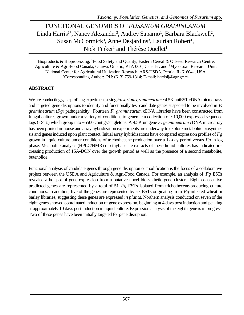### FUNCTIONAL GENOMICS OF *FUSARIUM GRAMINEARUM* Linda Harris<sup>1\*</sup>, Nancy Alexander<sup>3</sup>, Audrey Saparno<sup>1</sup>, Barbara Blackwell<sup>2</sup>, Susan McCormick<sup>3</sup>, Anne Desjardins<sup>3</sup>, Laurian Robert<sup>1</sup>, Nick Tinker<sup>1</sup> and Thérèse Ouellet<sup>1</sup>

<sup>1</sup>Bioproducts & Bioprocessing, <sup>2</sup>Food Safety and Quality, Eastern Cereal & Oilseed Research Centre, Agriculture & Agri-Food Canada, Ottawa, Ontario, K1A 0C6, Canada ; and <sup>3</sup>Mycotoxin Research Unit, National Center for Agricultural Utilization Research, ARS-USDA, Peoria, IL 61604k, USA \*Corresponding Author: PH: (613) 759-1314; E-mail: harrislj@agr.gc.ca

#### **ABSTRACT**

We are conducting gene profiling experiments using *Fusarium graminearum* ~4.5K uniEST cDNA microarrays and targeted gene disruptions to identify and functionally test candidate genes suspected to be involved in *F. graminearum* (*Fg*) pathogenicity. Fourteen *F. graminearum* cDNA libraries have been constructed from fungal cultures grown under a variety of conditions to generate a collection of ~10,000 expressed sequence tags (ESTs) which group into ~5500 contigs/singletons. A 4.5K unigene *F. graminearum* cDNA microarray has been printed in-house and array hybridization experiments are underway to explore metabolite biosynthesis and genes induced upon plant contact. Initial array hybridizations have compared expression profiles of *Fg* grown in liquid culture under conditions of trichothecene production over a 12-day period versus *Fg* in log phase. Metabolite analysis (HPLC/NMR) of ethyl acetate extracts of these liquid cultures has indicated increasing production of 15A-DON over the growth period as well as the presence of a second metabolite, butenolide.

Functional analysis of candidate genes through gene disruption or modification is the focus of a collaborative project between the USDA and Agriculture & Agri-Food Canada. For example, an analysis of *Fg* ESTs revealed a hotspot of gene expression from a putative novel biosynthetic gene cluster. Eight consecutive predicted genes are represented by a total of 51 *Fg* ESTs isolated from trichothecene-producing culture conditions. In addition, five of the genes are represented by six ESTs originating from *Fg*-infected wheat or barley libraries, suggesting these genes are expressed *in planta*. Northern analysis conducted on seven of the eight genes showed coordinated induction of gene expression, beginning at 4 days post induction and peaking at approximately 10 days post induction in liquid culture. Expression analysis of the eighth gene is in progress. Two of these genes have been initially targeted for gene disruption.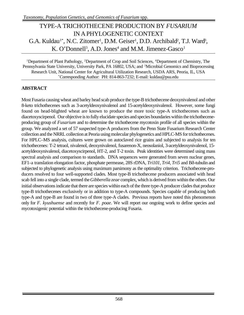# TYPE-A TRICHOTHECENE PRODUCTION BY *FUSARIUM* IN A PHYLOGENETIC CONTEXT G.A. Kuldau<sup>1\*</sup>, N.C. Zitomer<sup>1</sup>, D.M. Geiser<sup>1</sup>, D.D. Archibald<sup>2</sup>, T.J. Ward<sup>3</sup>, K. O'Donnell<sup>3</sup>, A.D. Jones<sup>4</sup> and M.M. Jimenez-Gasco<sup>1</sup>

<sup>1</sup>Department of Plant Pathology, <sup>2</sup>Department of Crop and Soil Sciences, <sup>4</sup>Department of Chemistry, The Pennsylvania State University, University Park, PA 16802, USA; and <sup>3</sup>Microbial Genomics and Bioprocessing Research Unit, National Center for Agricultural Utilization Research, USDA ARS, Peoria, IL, USA \*Corresponding Author: PH: 814-863-7232; E-mail: kuldau@psu.edu

### **ABSTRACT**

Most Fusaria causing wheat and barley head scab produce the type-B trichothecene deoxynivalenol and other 8-keto trichothecenes such as 3-acetyldeoxynivalenol and 15-acetyldeoxynivalenol. However, some fungi found on head-blighted wheat are known to produce the more toxic type-A trichothecenes such as diacetoxyscirpenol. Our objective is to fully elucidate species and species boundaries within the trichotheceneproducing group of *Fusarium* and to determine the trichothecene mycotoxin profile of all species within the group. We analyzed a set of 57 suspected type-A producers from the Penn State Fusarium Research Center collection and the NRRL collection at Peoria using molecular phylogenetics and HPLC-MS for trichothecenes. For HPLC–MS analysis, cultures were grown on autoclaved rice grains and subjected to analysis for ten trichothecenes: T-2 tetraol, nivalenol, deoxynivalenol, fusarenon-X, neosolaniol, 3-acetyldeoxynivalenol, 15 acetyldeoxynivalenol, diacetoxyscirpenol, HT-2, and T-2 toxin. Peak identities were determined using mass spectral analysis and comparison to standards. DNA sequences were generated from seven nuclear genes, EF1-a translation elongation factor, phosphate permease, 28S rDNA, *Tri101, Tri4, Tri5* and Bð-tubulin and subjected to phylogenetic analysis using maximum parsimony as the optimality criterion. Trichothecene-producers resolved to four well-supported clades. Most type-B trichothecene producers associated with head scab fell into a single clade, termed the *Gibberella zeae* complex, which is derived from within the others. Our initial observations indicate that there are species within each of the three type-A producer clades that produce type-B trichothecenes exclusively or in addition to type-A compounds. Species capable of producing both type-A and type-B are found in two of three type-A clades. Previous reports have noted this phenomenon only for *F. kyushuense* and recently for *F. poae*. We will report our ongoing work to define species and mycotoxigenic potential within the trichothecene-producing Fusaria.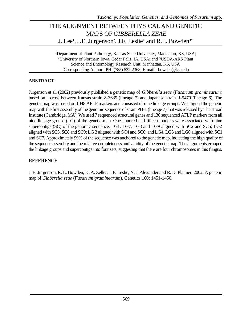# THE ALIGNMENT BETWEEN PHYSICALAND GENETIC MAPS OF *GIBBERELLA ZEAE* J. Lee<sup>1</sup>, J.E. Jurgenson<sup>2</sup>, J.F. Leslie<sup>1</sup> and R.L. Bowden<sup>3\*</sup>

<sup>1</sup>Department of Plant Pathology, Kansas State University, Manhattan, KS, USA; <sup>2</sup>University of Northern Iowa, Cedar Falls, IA, USA; and <sup>3</sup>USDA-ARS Plant Science and Entomology Research Unit, Manhattan, KS, USA \*Corresponding Author: PH: (785) 532-2368; E-mail: rbowden@ksu.edu

### **ABSTRACT**

Jurgenson et al. (2002) previously published a genetic map of *Gibberella zeae* (*Fusarium graminearum*) based on a cross between Kansas strain Z-3639 (lineage 7) and Japanese strain R-5470 (lineage 6). The genetic map was based on 1048 AFLP markers and consisted of nine linkage groups. We aligned the genetic map with the first assembly of the genomic sequence of strain PH-1 (lineage 7) that was released by The Broad Institute (Cambridge, MA). We used 7 sequenced structural genes and 130 sequenced AFLP markers from all nine linkage groups (LG) of the genetic map. One hundred and fifteen markers were associated with nine supercontigs (SC) of the genomic sequence. LG1, LG7, LG8 and LG9 aligned with SC2 and SC5; LG2 aligned with SC3, SC8 and SC9; LG 3 aligned with SC4 and SC6; and LG4, LG5 and LG6 aligned with SC1 and SC7. Approximately 99% of the sequence was anchored to the genetic map, indicating the high quality of the sequence assembly and the relative completeness and validity of the genetic map. The alignments grouped the linkage groups and supercontigs into four sets, suggesting that there are four chromosomes in this fungus.

#### **REFERENCE**

J. E. Jurgenson, R. L. Bowden, K. A. Zeller, J. F. Leslie, N. J. Alexander and R. D. Plattner. 2002. A genetic map of *Gibberella zeae* (*Fusarium graminearum*). Genetics 160: 1451-1450.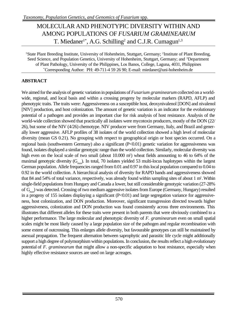# MOLECULAR AND PHENOTYPIC DIVERSITY WITHIN AND AMONG POPULATIONS OF *FUSARIUM GRAMINEARUM* T. Miedaner<sup>1\*</sup>, A.G. Schilling<sup>2</sup> and C.J.R. Cumagun<sup>1,3</sup>

<sup>1</sup>State Plant Breeding Institute, University of Hohenheim, Stuttgart, Germany; <sup>2</sup>Institute of Plant Breeding, Seed Science, and Population Genetics, University of Hohenheim, Stuttgart, Germany; and <sup>3</sup>Department of Plant Pathology, University of the Philippines, Los Banos, College, Laguna, 4031, Philippines \*Corresponding Author: PH: 49-711-4 59 26 90; E-mail: miedaner@uni-hohenheim.de

### **ABSTRACT**

We aimed for the analysis of genetic variation in populations of *Fusarium graminearum* collected on a worldwide, regional, and local basis and within a crossing progeny by molecular markers (RAPD, AFLP) and phenotypic traits. The traits were: Aggressiveness on a susceptible host, deoxynivalenol [DON] and nivalenol [NIV] production, and host colonization. The amount of genetic variation is an indicator for the evolutionary potential of a pathogen and provides an important clue for risk analysis of host resistance. Analysis of the world-wide collection showed that practically all isolates were mycotoxin producers, mostly of the DON (22/ 26), but some of the NIV (4/26) chemotype. NIV producer were from Germany, Italy, and Brazil and generally lower aggressive. AFLP profiles of 38 isolates of the world collection showed a high level of molecular diversity (mean GS 0.21). No grouping with respect to geographical origin or host species occurred. On a regional basis (southwestern Germany) also a significant (P<0.01) genetic variation for aggressiveness was found, isolates displayed a similar genotypic range than the world collection. Similarly, molecular diversity was high even on the local scale of two small (about 10.000 m<sup>2</sup>) wheat fields amounting to 46 to 64% of the maximal genotypic diversity  $(G<sub>max</sub>)$ . In total, 70 isolates yielded 53 multi-locus haplotypes within the largest German population. Allele frequencies ranged from 0.01 and 0.97 in this local population compared to 0.04 to 0.92 in the world collection. A hierarchical analysis of diversity for RAPD bands and aggressiveness showed that 84 and 54% of total variance, respectively, was already found within sampling sites of about 1 m<sup>2</sup>. Within single-field populations from Hungary and Canada a lower, but still considerable genotypic variation (27-28% of  $G_{\text{max}}$ ) was detected. Crossing of two medium aggressive isolates from Europe (Germany, Hungary) resulted in a progeny of 155 isolates displaying a significant (P<0.01) and large segregation variance for aggressiveness, host colonization, and DON production. Moreover, significant transgression directed towards higher aggressiveness, colonization and DON production was found consistently across three environments. This illustrates that different alleles for these traits were present in both parents that were obviously combined to a higher performance. The large molecular and phenotypic diversity of *F. graminearum* even on small spatial scales might be most likely caused by a large population size of the pathogen and regular recombination with some extent of outcrossing. This enlarges allele diversity, but favourable genotypes can still be maintained by asexual propagation. The frequent alternation between saprophytic and parasitic life cycle might additionally support a high degree of polymorphism within populations. In conclusion, the results reflect a high evolutionary potential of *F. graminearum* that might allow a non-specific adaptation to host resistance, especially when highly effective resistance sources are used on large acreages.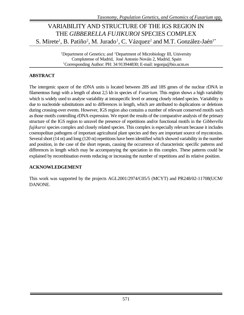# VARIABILITY AND STRUCTURE OF THE IGS REGION IN THE *GIBBERELLA FUJIKUROI* SPECIES COMPLEX S. Mirete<sup>1</sup>, B. Patiño<sup>2</sup>, M. Jurado<sup>1</sup>, C. Vázquez<sup>2</sup> and M.T. González-Jaén<sup>1\*</sup>

<sup>1</sup>Department of Genetics; and <sup>2</sup>Department of Microbiology III, University Complutense of Madrid, José Antonio Nováis 2, Madrid, Spain \*Corresponding Author: PH: 34 913944830; E-mail: tegonja@bio.ucm.es

#### **ABSTRACT**

The intergenic spacer of the rDNA units is located between 28S and 18S genes of the nuclear rDNA in filamentous fungi with a length of about 2,5 kb in species of *Fusarium*. This region shows a high variability which is widely used to analyse variability at intraspecific level or among closely related species. Variability is due to nucleotide substitutions and to differences in length, which are attributed to duplications or deletions during crossing-over events. However, IGS region also contains a number of relevant conserved motifs such as those motifs controlling rDNA expression. We report the results of the comparative analysis of the primary structure of the IGS region to unravel the presence of repetitions and/or functional motifs in the *Gibberella fujikuroi* species complex and closely related species. This complex is especially relevant because it includes cosmopolitan pathogens of important agricultural plant species and they are important source of mycotoxins. Several short (14 nt) and long (120 nt) repetitions have been identified which showed variability in the number and position, in the case of the short repeats, causing the occurrence of characteristic specific patterns and differences in length which may be accompanying the speciation in this complex. These patterns could be explained by recombination events reducing or increasing the number of repetitions and its relative position.

#### **ACKNOWLEDGEMENT**

This work was supported by the projects AGL2001/2974/C05/5 (MCYT) and PR248/02-11708(UCM/ DANONE.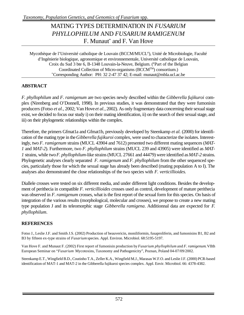## MATING TYPES DETERMINATION IN *FUSARIUM PHYLLOPHILUM* AND *FUSARIUM RAMIGENUM* F. Munaut\* and F. Van Hove

Mycothèque de l'Université catholique de Louvain (BCCM/MUCL<sup>#</sup>), Unité de Microbiologie, Faculté d'Ingénierie biologique, agronomique et environnementale, Université catholique de Louvain, Croix du Sud 3 bte 6, B-1348 Louvain-la-Neuve, Belgium. (#Part of the Belgian Coordinated Collection of Micro-organisms (BCCMTM) consortium.) \*Corresponding Author: PH: 32 2-47 37 42; E-mail: munaut@mbla.ucl.ac.be

### **ABSTRACT**

*F. phyllophilum* and *F. ramigenum* are two species newly described within the *Gibberella fujikuroi* complex (Nirenberg and O'Donnell, 1998). In previous studies, it was demonstrated that they were fumonisin producers (Fotso *et al.*, 2002; Van Hove *et al.*, 2002). As only fragmentary data concerning their sexual stage exist, we decided to focus our study i) on their mating identification, ii) on the search of their sexual stage, and iii) on their phylogenetic relationships within the complex.

Therefore, the primers Gfmat1a and Gfmat1b, previously developed by Steenkamp *et al.* (2000) for identification of the mating type in the *Gibberella fujikuroi* complex, were used to characterize the isolates. Interestingly, two *F. ramigenum* strains (MUCL 43904 and 7612) presented two different mating sequences (*MAT-1* and *MAT-2*). Furthermore, two *F. phyllophilum* strains (MUCL 239 and 43905) were identified as *MAT-1* strains, while two *F. phyllophilum*-like strains (MUCL 27661 and 44479) were identified as *MAT-2* strains. Phylogenetic analyses clearly separated *F. ramigenum* and *F. phyllophilum* from the other sequenced species, particularly those for which the sexual stage has already been described (mating population A to I). The analyses also demonstrated the close relationships of the two species with *F. verticillioides.*

Diallele crosses were tested on six different media, and under different light conditions. Besides the development of perithecia in compatible *F. verticillioides* crosses used as control, development of mature perithecia was observed in *F. ramigenum* crosses, what is the first report of the sexual form for this species. On basis of integration of the various results (morphological, molecular and crosses), we propose to create a new mating type population J and its teleomorphic stage *Gibberella ramigena*. Additionnal data are expected for *F. phyllophilum*.

#### **REFERENCES**

Fotso J., Leslie J.F. and Smith J.S. (2002) Production of beauvericin, moniliformin, fusaproliferin, and fumonisins B1, B2 and B3 by fifteen ex-type strains of *Fusarium* species. Appl. Environ. Microbiol. 68:5195-5197.

Van Hove F. and Munaut F. (2002) First report of fumonisin production by *Fusarium phyllophilum* and *F. ramigenum*. VIIth European Seminar on "*Fusarium* Mycotoxins, Taxonomy and Pathogenicity", Poznan, Poland 04-07/09/2002.

Steenkamp E.T., Wingfield B.D., Coutinho T.A., Zeller K.A., Wingfield M.J., Marasas W.F.O. and Leslie J.F. (2000) PCR-based identification of MAT-1 and MAT-2 in the Gibberella fujikuroi species complex. Appl. Envir. Microbiol. 66: 4378-4382.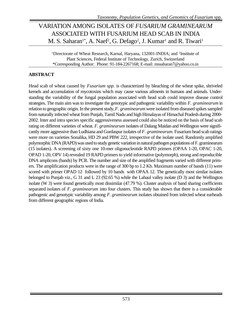# VARIATION AMONG ISOLATES OF *FUSARIUM GRAMINEARUM* ASSOCIATED WITH FUSARIUM HEAD SCAB IN INDIA M. S. Saharan<sup>1\*</sup>, A. Naef<sup>2</sup>, G. Defago<sup>2</sup>, J. Kumar<sup>1</sup> and R. Tiwari<sup>1</sup>

<sup>1</sup>Directorate of Wheat Research, Karnal, Haryana, 132001-INDIA; and <sup>2</sup>Institute of Plant Sciences, Federal Institute of Technology, Zurich, Switzerland \*Corresponding Author: Phone: 91-184-2267168; E-mail: mssaharan7@yahoo.co.in

#### **ABSTRACT**

Head scab of wheat caused by *Fusarium spp.* is characterized by bleaching of the wheat spike, shriveled kernels and accumulation of mycotoxins which may cause various ailments in humans and animals. Understanding the variability of the fungal population associated with head scab could improve disease control strategies. The main aim was to investigate the genotypic and pathogenic variability within *F. graminearum* in relation to geographic origin. In the present study, *F. graminearum* were isolated from diseased spikes sampled from naturally infected wheat from Punjab, Tamil Nadu and high Himalayas of Himachal Pradesh during 2000- 2002. Inter and intra species specific aggressiveness assessed could also be noticed on the basis of head scab rating on different varieties of wheat. *F. graminearum* isolates of Dalang Maidan and Wellington were significantly more aggressive than Ludhiana and Gurdaspur isolates of *F. graminearum*. Fusarium head scab ratings were more on varieties Sonalika, HD 29 and PBW 222, irrespective of the isolate used. Randomly amplified polymorphic DNA (RAPD) was used to study genetic variation in natural pathogen populations of F. graminearum (15 isolates). A screening of sixty one 10-mer oligonucleotide RAPD primers (OPAA 1-20, OPAC 1-20, OPAD 1-20, OPV 14) revealed 19 RAPD primers to yield informative (polymorph), strong and reproducible DNA amplicons (bands) by PCR. The number and size of the amplified fragments varied with different primers. The amplification products were in the range of 300 bp to 1.2 Kb. Maximum number of bands (11) were scored with primer OPAD 12 followed by 10 bands with OPAA 12. The genetically most similar isolates belonged to Punjab viz., G 31 and L 23 (92.65 %) while the Lahaul valley isolate (D 3) and the Wellington isolate (W 3) were found genetically most dissimilar (47.79 %). Cluster analysis of band sharing coefficients separated isolates of *F. graminearum* into four clusters. This study has shown that there is a considerable pathogenic and genotypic variability among *F. graminearum* isolates obtained from infected wheat earheads from different geographic regions of India.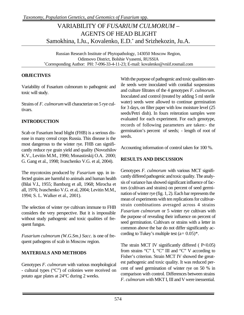# VARIABILITY OF *FUSARIUM CULMORUM* – AGENTS OF HEAD BLIGHT Samokhina, I.Ju., Kovalenko, E.D.\* and Srizhekozin, Ju.A.

Russian Research Institute of Phytopathology, 143050 Moscow Region, Odintsovo District, Bolshie Vyasemi, RUSSIA \*Corresponding Author: PH: 7-096-33-4-11-23; E-mail: kovalenko@vniif.rosmail.com

#### **OBJECTIVES**

Variability of Fusarium culmorum to pathogenic and toxic will study.

Strains of *F. culmorum* will characterize on 5 rye cultivars.

### **INTRODUCTION**

Scab or Fusarium head blight (FHB) is a serious disease in many cereal crops Russia. This disease is the most dangerous to the winter rye. FHB can significantly reduce rye grain yield and quality (Novozhilov K.V., Levitin M.M., 1990; Monastirskij O.A. 2000; G. Gang et al., 1998; Ivaschenko V.G. et al, 2004).

The mycotoxins produced by *Fusarium* spp. in infected grains are harmful to animals and human health (Bilai V.I., 1955; Bamburg et all, 1968; Mirocha et all, 1976; Ivaschenko V.G. et al, 2004; Levitin M.M., 1994; S. L. Walker et al., 2001).

The selection of winter rye cultivars immune to FHB considers the very perspective. But it is impossible without study pathogenic and toxic qualities of frequent fungus.

*Fusarium culmorum (W.G.Sm.) Sacc.* is one of frequent pathogens of scab in Moscow region.

#### **MATERIALS AND METHODS**

Genotypes *F. culmorum* with various morphological - cultural types ("C") of colonies were received on potato agar plates at 24°C during 2 weeks.

With the purpose of pathogenic and toxic qualities sterile seeds were inoculated with conidial suspensions and culture filtrates of the 4 genotypes *F. culmorum*. Inoculated and control (treated by adding 5 ml sterile water) seeds were allowed to continue germination for 3 days, on filter paper with low moisture level (25 seeds/Petri dish). In fours reiteration samples were evaluated for each experiment. For each genotype, records of following parameters are taken:- the germination's percent of seeds; - length of root of seeds.

Accounting information of control taken for 100 %.

### **RESULTS AND DISCUSSION**

Genotypes *F. culmorum* with various MCT significantly differed pathogenic and toxic quality. The analysis of variance has showed significant influence of factors (cultivars and strains) on percent of seed germination of winter rye (fig. 1, 2). Each bar represents the mean of experiments with ten replications for cultivarstrain combinations averaged across 4 strains *Fusarium culmorum* or 5 winter rye cultivars with the purpose of revealing their influence on percent of seed germination. Cultivars or strains with a letter in common above the bar do not differ significantly according to Tukey's multiple test  $(a=0.05)^*$ .

The strain MCT IV significantly differed  $(P<0.05)$ from strains "C" I, "C" III and "C" V according to Fisher's criterion. Strain MCT IV showed the greatest pathogenic and toxic quality. It was reduced percent of seed germination of winter rye on 50 % in comparison with control. Differences between strains *F. culmorum w*ith MKT I, III and V were inessential.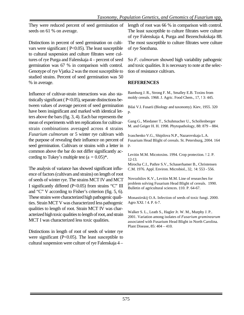They were reduced percent of seed germination of seeds on 61 % on average.

Distinctions in percent of seed germination on cultivars were significant ( P<0.05). The least susceptible to cultural suspension and culture filtrates were cultures of rye Purga and Falenskaja 4 – percent of seed germination was 67 % in comparison with control. Genotype of rye Vjatka 2 was the most susceptible to studied strains. Percent of seed germination was 50 % in average.

Influence of cultivar-strain interactions was also statistically significant ( P<0.05), separate distinctions between values of average percent of seed germination have been insignificant and marked with identical letters above the bars (fig. 3, 4). Each bar represents the mean of experiments with ten replications for cultivarstrain combinations averaged across 4 strains *Fusarium culmorum* or 5 winter rye cultivars with the purpose of revealing their influence on percent of seed germination. Cultivars or strains with a letter in common above the bar do not differ significantly according to Tukey's multiple test  $(a = 0.05)^*$ .

The analysis of variance has showed significant influence of factors (cultivars and strains) on length of root of seeds of winter rye. The strains MCT IV and MCT I significantly differed (P<0.05) from strains "C" III and "C" V according to Fisher's criterion (fig. 5, 6). These strains were characterized high pathogenic qualities. Strain MCT V was characterized less pathogenic qualities to length of root. Strain MCT IV was characterized high toxic qualities to length of root, and strain MCT I was characterized less toxic qualities.

Distinctions in length of root of seeds of winter rye were significant (P<0.05). The least susceptible to cultural suspension were culture of rye Falenskaja 4 –

length of root was 66 % in comparison with control. The least susceptible to culture filtrates were culture of rye Falenskaja 4, Purga and Bezenchukskaja 88. The most susceptible to culture filtrates were culture of rye Snezhana.

So *F. culmorum* showed high variability pathogenic and toxic qualities. It is necessary to note at the selection of resistance cultivars.

#### **REFERENCES**

Bamburg J. R., Strong F. M., Smalley E.B. Toxins from moldy cereals. 1968. J. Agric. Food Chem., 17, ! 3: 445.

Bilai V.I. Fusarii (Biology and taxonomy). Kiev, 1955. 320 p.

Gang G., Miedaner T., Schuhmacher U., Schollenberger M. and Geiger H. H. 1998. Phytopathology, 88: 879 – 884.

Ivaschenko V.G., Shipilova N.P., Nazarovskaja L.A. Fusarium Head Blight of cereals. St. Petersburg, 2004. 164 p.

Levitin M.M. Micotoxins. 1994. Crop protection. ! 2. P. 12-13.

Mirocha C.I., Pathre S.V., Schauerhamer B., Christensen C.M. 1976. Appl. Environ. Microbiol., 32, !4: 553 - 556.

Novozhilov K.V., Levitin M.M. Line of researches for problem solving Fusarium Head Blight of cereals. 1990. Bulletin of agricultural sciences. ‡10. P. 64-67.

Monastirskij O.A. Infection of seeds of toxic fungi. 2000. Agro XXI. ! 4. P. 6-7.

Walker S. L., Leath S., Hagler Jr. W. M., Murphy J. P.. 2001. Variation among isolates of *Fusarium graminearum* associated with Fusarium Head Blight in North Carolina. Plant Disease, 85: 404 – 410.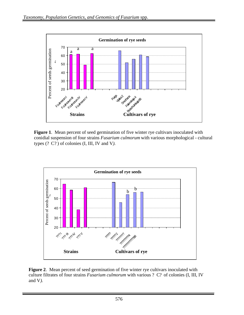

**Figure 1**. Mean percent of seed germination of five winter rye cultivars inoculated with conidial suspension of four strains *Fusarium culmorum* with various morphological - cultural types (? C? ) of colonies (I, III, IV and V*).*



**Figure 2**. Mean percent of seed germination of five winter rye cultivars inoculated with culture filtrates of four strains *Fusarium culmorum* with various ? C? of colonies (I, III, IV and V*).*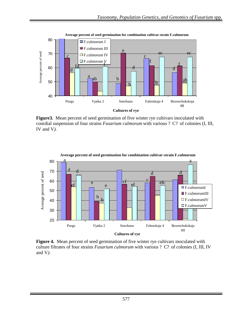

**Figure3.** Mean percent of seed germination of five winter rye cultivars inoculated with conidial suspension of four strains *Fusarium culmorum* with various ? C? of colonies (I, III, IV and V*).*



**Figure 4.** Mean percent of seed germination of five winter rye cultivars inoculated with culture filtrates of four strains *Fusarium culmorum* with various ? C? of colonies (I, III, IV and V*).*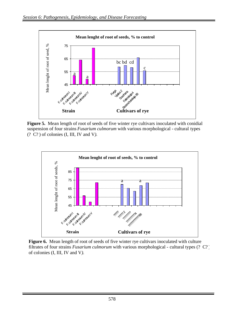

**Figure 5.** Mean length of root of seeds of five winter rye cultivars inoculated with conidial suspension of four strains *Fusarium culmorum* with various morphological - cultural types (? C? ) of colonies (I, III, IV and V*).*



Figure 6. Mean length of root of seeds of five winter rye cultivars inoculated with culture filtrates of four strains *Fusarium culmorum* with various morphological - cultural types (? C? ) of colonies (I, III, IV and V*).*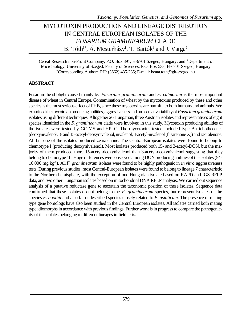# MYCOTOXIN PRODUCTION AND LINEAGE DISTRIBUTION IN CENTRAL EUROPEAN ISOLATES OF THE *FUSARIUM GRAMINEARUM* CLADE B. Tóth<sup>1\*</sup>, Á. Mesterházy<sup>1</sup>, T. Bartók<sup>1</sup> and J. Varga<sup>2</sup>

<sup>1</sup>Cereal Research non-Profit Company, P.O. Box 391, H-6701 Szeged, Hungary; and <sup>2</sup>Department of Microbiology, University of Szeged, Faculty of Sciences, P.O. Box 533, H-6701 Szeged, Hungary \*Corresponding Author: PH: (3662) 435-235; E-mail: beata.toth@gk-szeged.hu

#### **ABSTRACT**

Fusarium head blight caused mainly by *Fusarium graminearum* and *F. culmorum* is the most important disease of wheat in Central Europe. Contamination of wheat by the mycotoxins produced by these and other species is the most serious effect of FHB, since these mycotoxins are harmful to both humans and animals. We examined the mycotoxin producing abilities, aggressiveness and molecular variability of *Fusarium graminearum* isolates using different techniques. Altogether 26 Hungarian, three Austrian isolates and representatives of eight species identified in the *F. graminearum* clade were involved in this study. Mycotoxin producing abilities of the isolates were tested by GC-MS and HPLC. The mycotoxins tested included type B trichothecenes (deoxynivalenol, 3- and 15-acetyl-deoxynivalenol, nivalenol, 4-acetyl-nivalenol (fusarenone X)) and zearalenone. All but one of the isolates produced zearalenone. The Central-European isolates were found to belong to chemotype I (producing deoxynivalenol). Most isolates produced both 15- and 3-acetyl-DON, but the majority of them produced more 15-acetyl-deoxynivalenol than 3-acetyl-deoxynivalenol suggesting that they belong to chemotype 1b. Huge differences were observed among DON producing abilities of the isolates (54- 16.000 mg kg-1). All *F. graminearum* isolates were found to be highly pathogenic in *in vitro* aggressiveness tests. During previous studies, most Central-European isolates were found to belong to lineage 7 characteristic to the Northern hemisphere, with the exception of one Hungarian isolate based on RAPD and IGS-RFLP data, and two other Hungarian isolates based on mitochondrial DNA RFLP analysis. We carried out sequence analysis of a putative reductase gene to ascertain the taxonomic position of these isolates. Sequence data confirmed that these isolates do not belong to the *F. graminearum* species, but represent isolates of the species *F. boothii* and a so far undescribed species closely related to *F. asiaticum*. The presence of mating type gene homologs have also been studied in the Central European isolates. All isolates carried both mating type idiomorphs in accordance with previous findings. Further work is in progress to compare the pathogenicity of the isolates belonging to different lineages in field tests.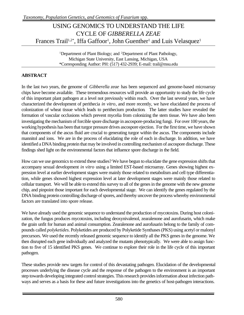# USING GENOMICS TO UNDERSTAND THE LIFE CYCLE OF *GIBBERELLA ZEAE* Frances Trail<sup>1,2\*</sup>, Iffa Gaffoor<sup>1</sup>, John Guenther<sup>1</sup> and Luis Velasquez<sup>1</sup>

<sup>1</sup>Department of Plant Biology; and <sup>2</sup>Department of Plant Pathology, Michigan State University, East Lansing, Michigan, USA \*Corresponding Author: PH: (517) 432-2939; E-mail: trail@msu.edu

#### **ABSTRACT**

In the last two years, the genome of *Gibberella zeae* has been sequenced and genome-based microarray chips have become available. These tremendous resources will provide an opportunity to study the life cycle of this important plant pathogen at a level not previously within reach. Over the last several years, we have characterized the development of perithecia *in vitro*, and more recently, we have elucidated the process of colonization of wheat tissue which leads to perithecium production*.* The latter studies have revealed the formation of vascular occlusions which prevent mycelia from colonizing the stem tissue. We have also been investigating the mechanism of forcible spore discharge in ascospore-producing fungi. For over 100 years, the working hypothesis has been that turgor pressure drives ascospore ejection. For the first time, we have shown that components of the ascus fluid are crucial to generating turgor within the ascus. The components include mannitol and ions. We are in the process of elucidating the role of each in discharge. In addition, we have identified a DNA binding protein that may be involved in controlling mechanism of ascospore discharge. These findings shed light on the environmental factors that influence spore discharge in the field.

How can we use genomics to extend these studies? We have begun to elucidate the gene expression shifts that accompany sexual development *in vitro* using a limited EST-based microarray. Genes showing highest expression level at earlier development stages were mainly those related to metabolism and cell type differentiation, while genes showed highest expression level at later development stages were mainly those related to cellular transport. We will be able to extend this survey to all of the genes in the genome with the new genome chip, and pinpoint those important for each developmental stage. We can identify the genes regulated by the DNA binding protein controlling discharge of spores, and thereby uncover the process whereby environmental factors are translated into spore release.

We have already used the genomic sequence to understand the production of mycotoxins. During host colonization, the fungus produces mycotoxins, including deoxynivalenol, zearalenone and aurofusarin, which make the grain unfit for human and animal consumption. Zearalenone and aurofusarin belong to the family of compounds called *polyketides*. Polyketides are produced by Polyketide Synthases (PKS) using acetyl or malonyl precursors. We used the recently released genomic sequence to identify all the PKS genes in the genome. We then disrupted each gene individually and analyzed the mutants phenotypically. We were able to assign function to five of 15 identified PKS genes. We continue to explore their role in the life cycle of this important pathogen.

These studies provide new targets for control of this devastating pathogen. Elucidation of the developmental processes underlying the disease cycle and the response of the pathogen to the environment is an important step towards developing integrated control strategies. This research provides information about infection pathways and serves as a basis for these and future investigations into the genetics of host-pathogen interactions.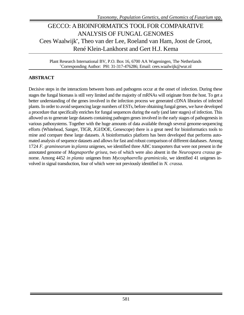### GECCO: A BIOINFORMATICS TOOL FOR COMPARATIVE ANALYSIS OF FUNGAL GENOMES Cees Waalwijk\* , Theo van der Lee, Roeland van Ham, Joost de Groot, René Klein-Lankhorst and Gert H.J. Kema

Plant Research International BV, P.O. Box 16, 6700 AA Wageningen, The Netherlands \*Corresponding Author: PH: 31-317-476286; Email: cees.waalwijk@wur.nl

#### **ABSTRACT**

Decisive steps in the interactions between hosts and pathogens occur at the onset of infection. During these stages the fungal biomass is still very limited and the majority of mRNAs will originate from the host. To get a better understanding of the genes involved in the infection process we generated cDNA libraries of infected plants. In order to avoid sequencing large numbers of ESTs, before obtaining fungal genes, we have developed a procedure that specifically enriches for fungal sequences during the early (and later stages) of infection. This allowed us to generate large datasets containing pathogen genes involved in the early stages of pathogenesis in various pathosystems. Together with the huge amounts of data available through several genome-sequencing efforts (Whitehead, Sanger, TIGR, JGI/DOE, Genescope) there is a great need for bioinformatics tools to mine and compare these large datasets. A bioinformatics platform has been developed that performs automated analysis of sequence datasets and allows for fast and robust comparison of different databases. Among 1724 *F. graminearum* in *planta* unigenes, we identified three ABC transporters that were not present in the annotated genome of *Magnaporthe grisea*, two of which were also absent in the *Neurospora crassa* genome. Among 4452 *in planta* unigenes from *Mycosphaerella graminicola*, we identified 41 unigenes involved in signal transduction, four of which were not previously identified in *N. crassa.*